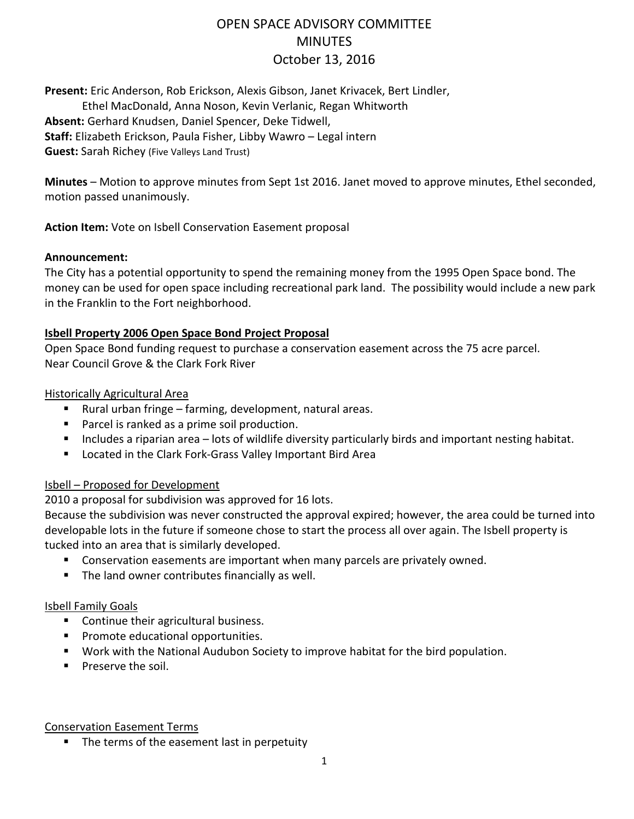# OPEN SPACE ADVISORY COMMITTEE **MINUTES** October 13, 2016

**Present:** Eric Anderson, Rob Erickson, Alexis Gibson, Janet Krivacek, Bert Lindler,

Ethel MacDonald, Anna Noson, Kevin Verlanic, Regan Whitworth **Absent:** Gerhard Knudsen, Daniel Spencer, Deke Tidwell, **Staff:** Elizabeth Erickson, Paula Fisher, Libby Wawro – Legal intern **Guest:** Sarah Richey (Five Valleys Land Trust)

**Minutes** – Motion to approve minutes from Sept 1st 2016. Janet moved to approve minutes, Ethel seconded, motion passed unanimously.

**Action Item:** Vote on Isbell Conservation Easement proposal

#### **Announcement:**

The City has a potential opportunity to spend the remaining money from the 1995 Open Space bond. The money can be used for open space including recreational park land. The possibility would include a new park in the Franklin to the Fort neighborhood.

#### **Isbell Property 2006 Open Space Bond Project Proposal**

Open Space Bond funding request to purchase a conservation easement across the 75 acre parcel. Near Council Grove & the Clark Fork River

Historically Agricultural Area

- Rural urban fringe farming, development, natural areas.
- **Parcel is ranked as a prime soil production.**
- Includes a riparian area lots of wildlife diversity particularly birds and important nesting habitat.
- **E** Located in the Clark Fork-Grass Valley Important Bird Area

#### Isbell – Proposed for Development

2010 a proposal for subdivision was approved for 16 lots.

Because the subdivision was never constructed the approval expired; however, the area could be turned into developable lots in the future if someone chose to start the process all over again. The Isbell property is tucked into an area that is similarly developed.

- **Conservation easements are important when many parcels are privately owned.**
- The land owner contributes financially as well.

#### Isbell Family Goals

- Continue their agricultural business.
- **Promote educational opportunities.**
- Work with the National Audubon Society to improve habitat for the bird population.
- **Preserve the soil.**

#### Conservation Easement Terms

• The terms of the easement last in perpetuity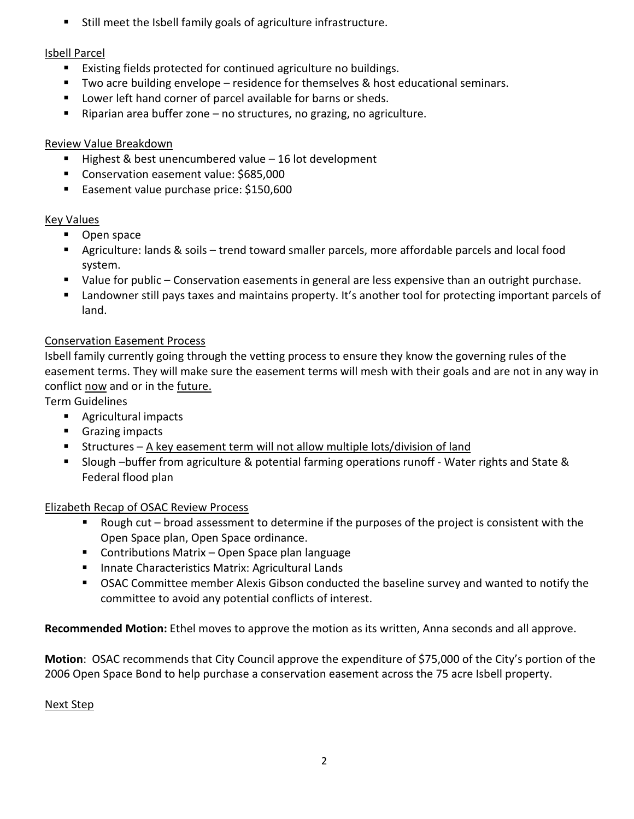Still meet the Isbell family goals of agriculture infrastructure.

### Isbell Parcel

- **Existing fields protected for continued agriculture no buildings.**
- Two acre building envelope residence for themselves & host educational seminars.
- **Lower left hand corner of parcel available for barns or sheds.**
- Riparian area buffer zone no structures, no grazing, no agriculture.

### Review Value Breakdown

- Highest & best unencumbered value 16 lot development
- **Conservation easement value: \$685,000**
- **Easement value purchase price: \$150,600**

# Key Values

- **D** Open space
- Agriculture: lands & soils trend toward smaller parcels, more affordable parcels and local food system.
- Value for public Conservation easements in general are less expensive than an outright purchase.
- Landowner still pays taxes and maintains property. It's another tool for protecting important parcels of land.

# Conservation Easement Process

Isbell family currently going through the vetting process to ensure they know the governing rules of the easement terms. They will make sure the easement terms will mesh with their goals and are not in any way in conflict now and or in the future.

Term Guidelines

- Agricultural impacts
- **Grazing impacts**
- Structures A key easement term will not allow multiple lots/division of land
- Slough –buffer from agriculture & potential farming operations runoff Water rights and State & Federal flood plan

### Elizabeth Recap of OSAC Review Process

- Rough cut broad assessment to determine if the purposes of the project is consistent with the Open Space plan, Open Space ordinance.
- Contributions Matrix Open Space plan language
- **Innate Characteristics Matrix: Agricultural Lands**
- OSAC Committee member Alexis Gibson conducted the baseline survey and wanted to notify the committee to avoid any potential conflicts of interest.

**Recommended Motion:** Ethel moves to approve the motion as its written, Anna seconds and all approve.

**Motion**: OSAC recommends that City Council approve the expenditure of \$75,000 of the City's portion of the 2006 Open Space Bond to help purchase a conservation easement across the 75 acre Isbell property.

### Next Step